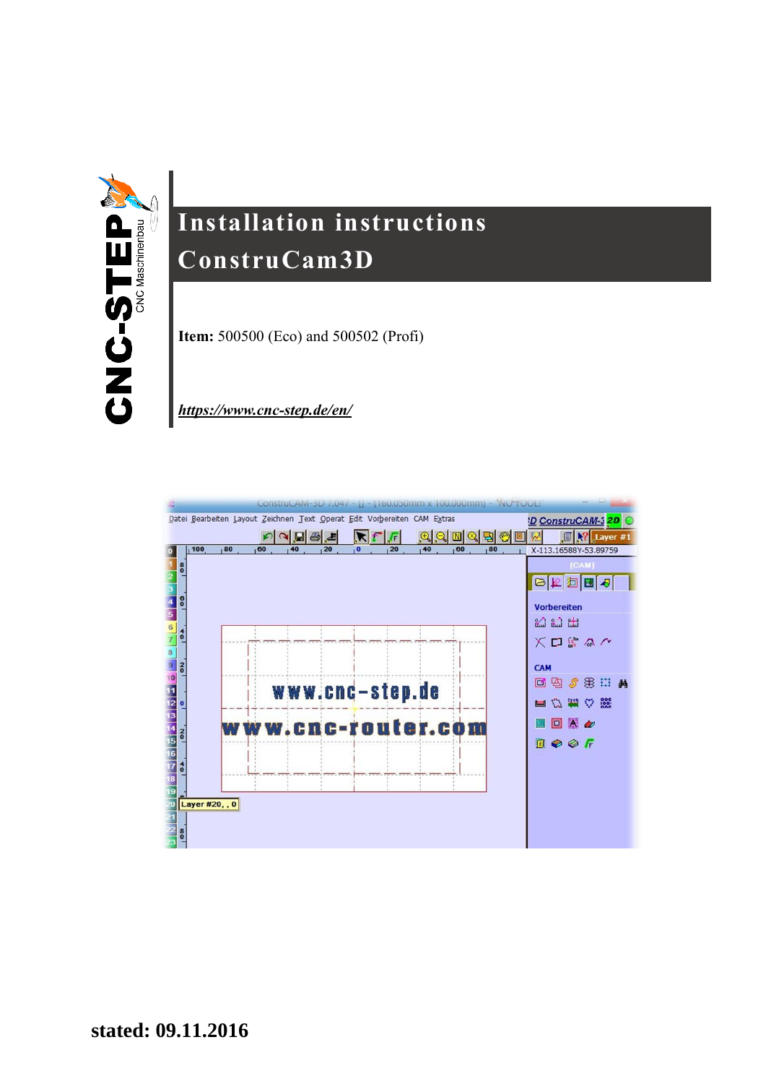

# **Installation instructions ConstruCam3D**

**Item:** 500500 (Eco) and 500502 (Profi)

*<https://www.cnc-step.de/en/>*

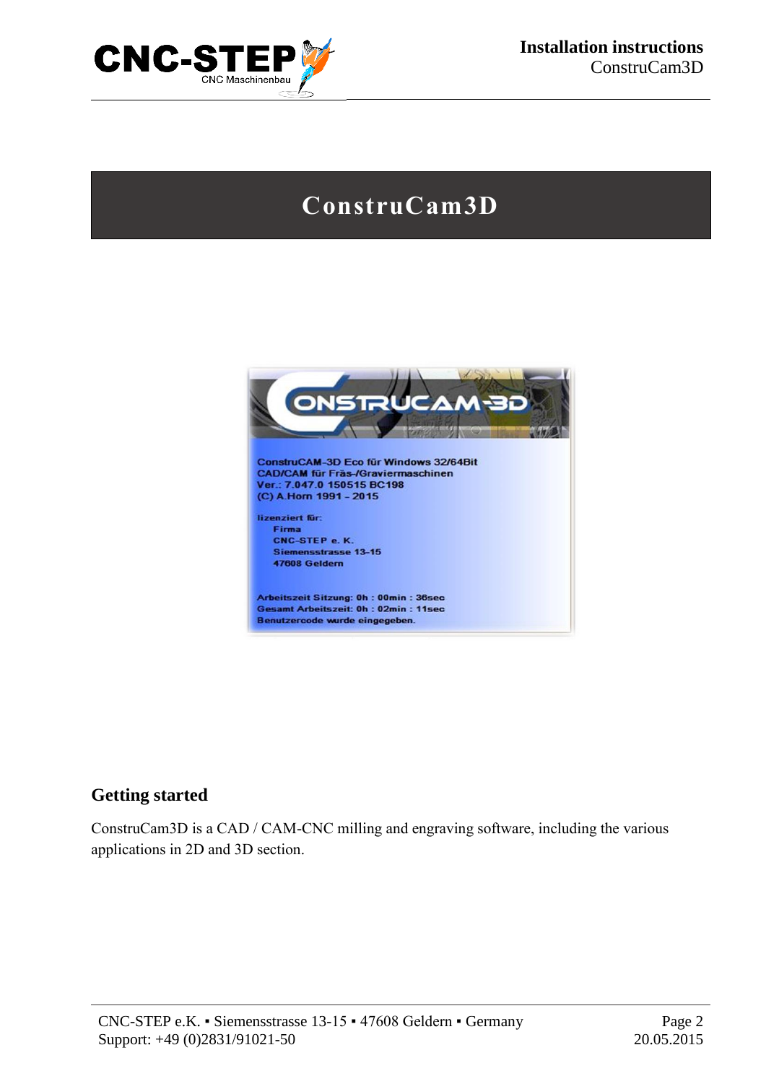

# **ConstruCam3D**



#### **Getting started**

ConstruCam3D is a CAD / CAM-CNC milling and engraving software, including the various applications in 2D and 3D section.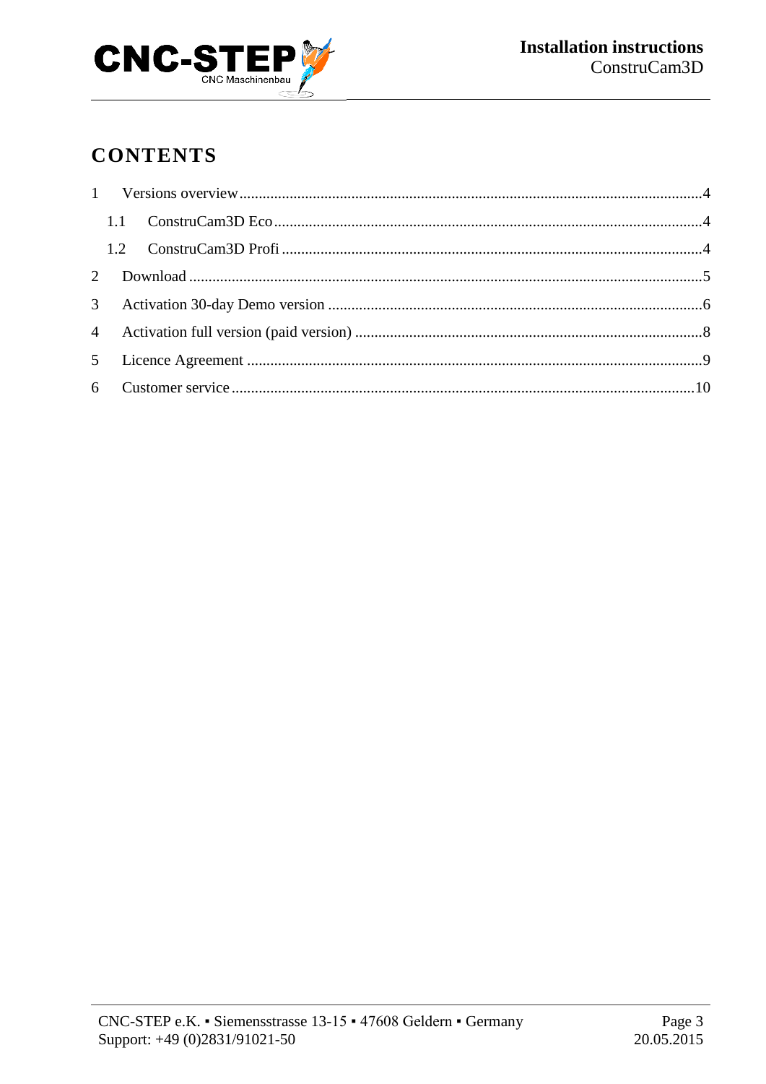

## **CONTENTS**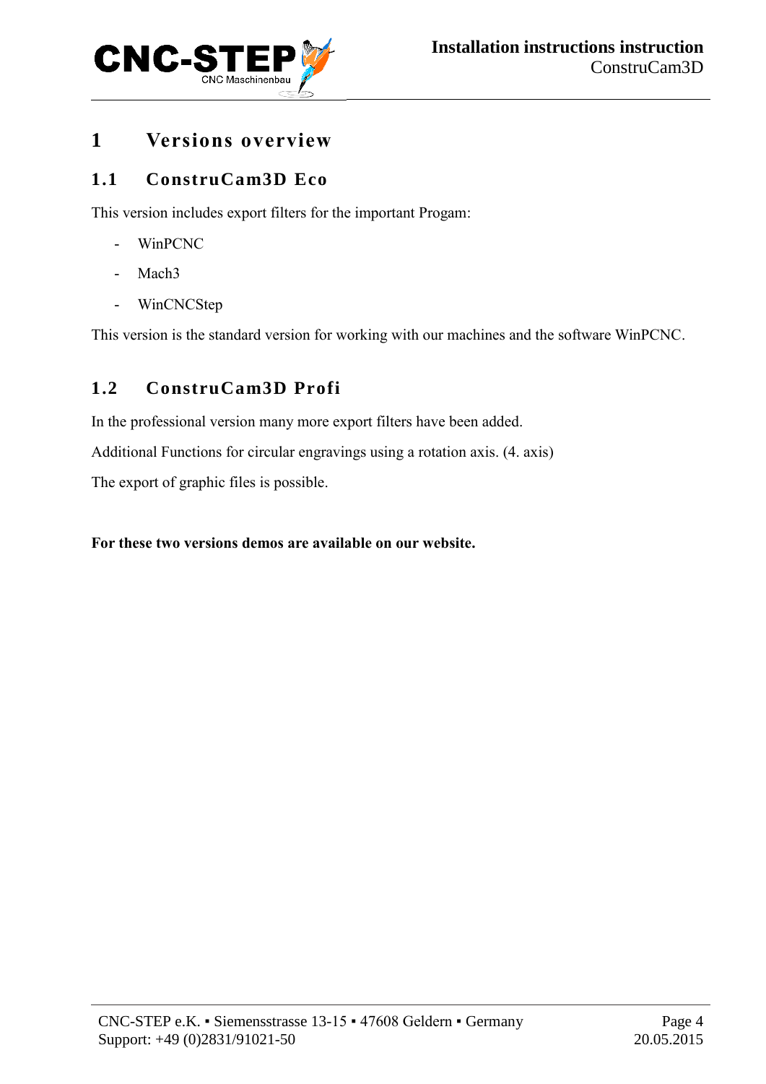

### <span id="page-3-0"></span>**1 Versions overview**

### <span id="page-3-1"></span>**1.1 ConstruCam3D Eco**

This version includes export filters for the important Progam:

- WinPCNC
- Mach3
- WinCNCStep

This version is the standard version for working with our machines and the software WinPCNC.

## <span id="page-3-2"></span>**1.2 ConstruCam3D Profi**

In the professional version many more export filters have been added.

Additional Functions for circular engravings using a rotation axis. (4. axis)

The export of graphic files is possible.

#### **For these two versions demos are available on our website.**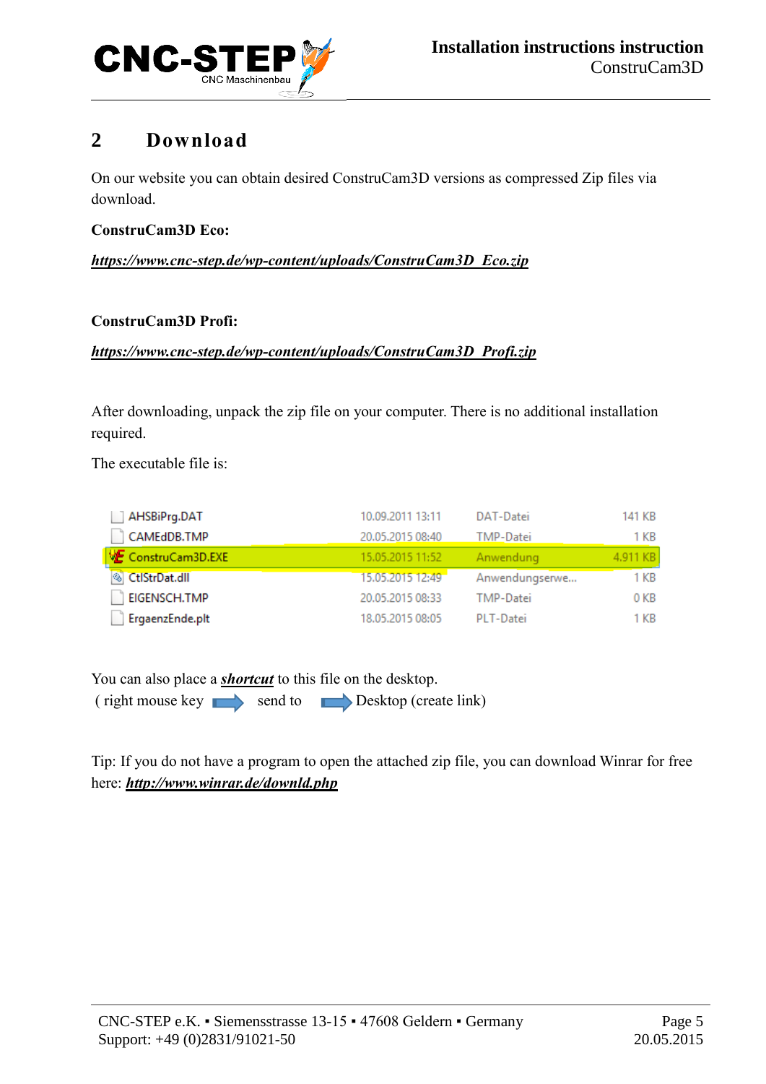

## <span id="page-4-0"></span>**2 Download**

On our website you can obtain desired ConstruCam3D versions as compressed Zip files via download.

#### **ConstruCam3D Eco:**

#### *[https://www.cnc-step.de/wp-content/uploads/ConstruCam3D\\_Eco.zip](https://www.cnc-step.de/wp-content/uploads/ConstruCam3D_Eco.zip)*

#### **ConstruCam3D Profi:**

#### *[https://www.cnc-step.de/wp-content/uploads/ConstruCam3D\\_Profi.zip](https://www.cnc-step.de/wp-content/uploads/ConstruCam3D_Profi.zip)*

After downloading, unpack the zip file on your computer. There is no additional installation required.

The executable file is:

| AHSBiPrg.DAT     | 10.09.2011 13:11 | DAT-Datei        | 141 KB   |
|------------------|------------------|------------------|----------|
| CAMEdDB.TMP      | 20.05.2015 08:40 | TMP-Datei        | 1 KB     |
| ConstruCam3D.EXE | 15.05.2015 11:52 | Anwendung        | 4.911 KB |
| CtlStrDat.dll    | 15.05.2015 12:49 | Anwendungserwe   | 1 KB     |
| EIGENSCH.TMP     | 20.05.2015 08:33 | <b>TMP-Datei</b> | 0 KB     |
| ErgaenzEnde.plt  | 18.05.2015 08:05 | PLT-Datei        | 1 KB     |

You can also place a *shortcut* to this file on the desktop.

 $(\text{right mouse key \longrightarrow \text{send to \longrightarrow} \text{Desktop (create link)})$ 

Tip: If you do not have a program to open the attached zip file, you can download Winrar for free here: *<http://www.winrar.de/downld.php>*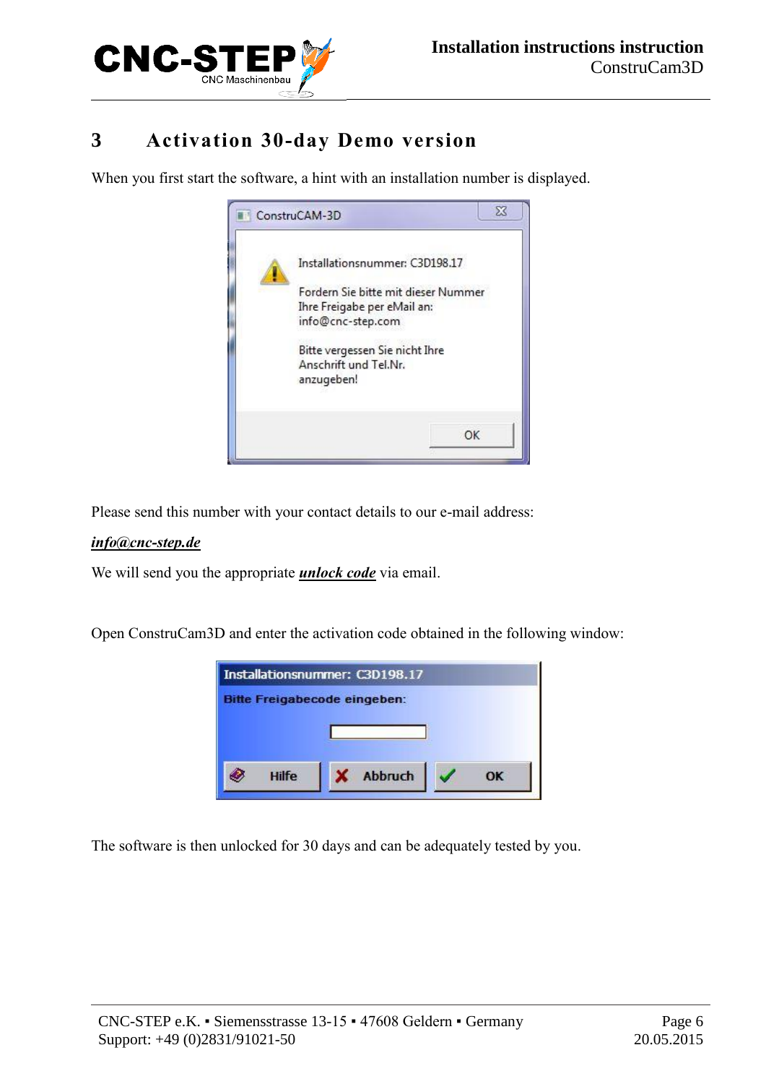

## <span id="page-5-0"></span>**3 Activation 30-day Demo version**

When you first start the software, a hint with an installation number is displayed.



Please send this number with your contact details to our e-mail address:

#### *[info@cnc-step.de](mailto:info@cnc-step.de?subject=Erbitten%20Freischaltcode%20fuer%20ConstruCam3D%20Testversion)*

We will send you the appropriate *unlock code* via email.

Open ConstruCam3D and enter the activation code obtained in the following window:



The software is then unlocked for 30 days and can be adequately tested by you.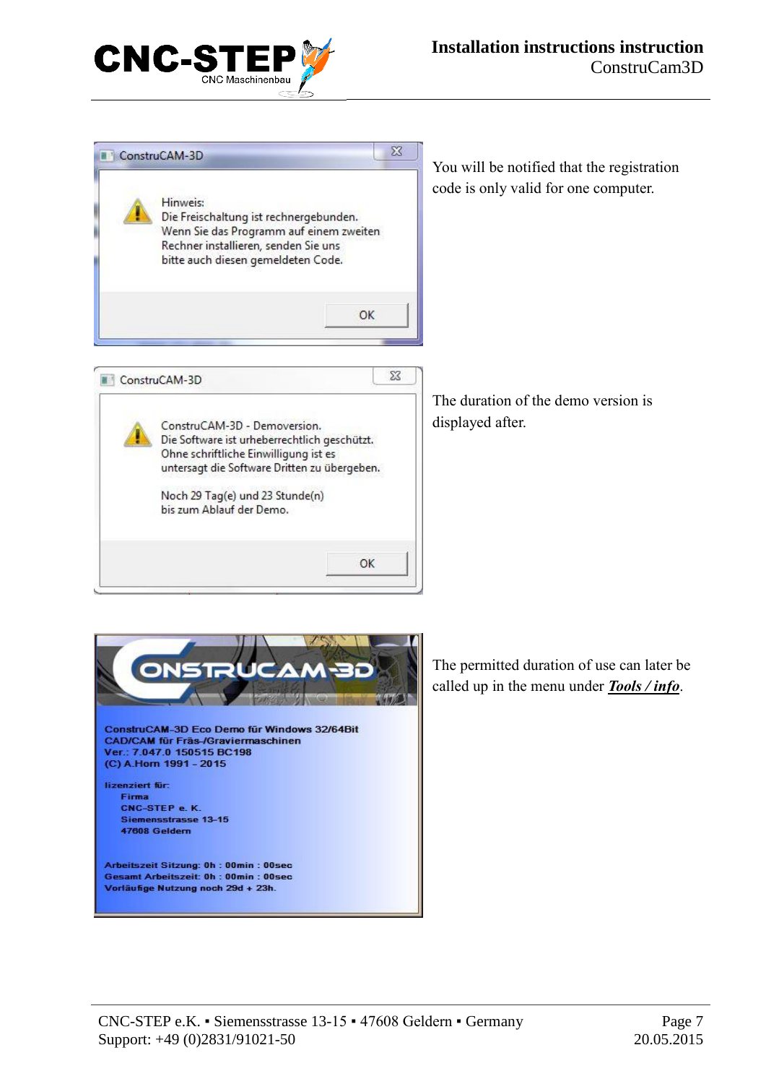





The permitted duration of use can later be called up in the menu under *Tools / info*.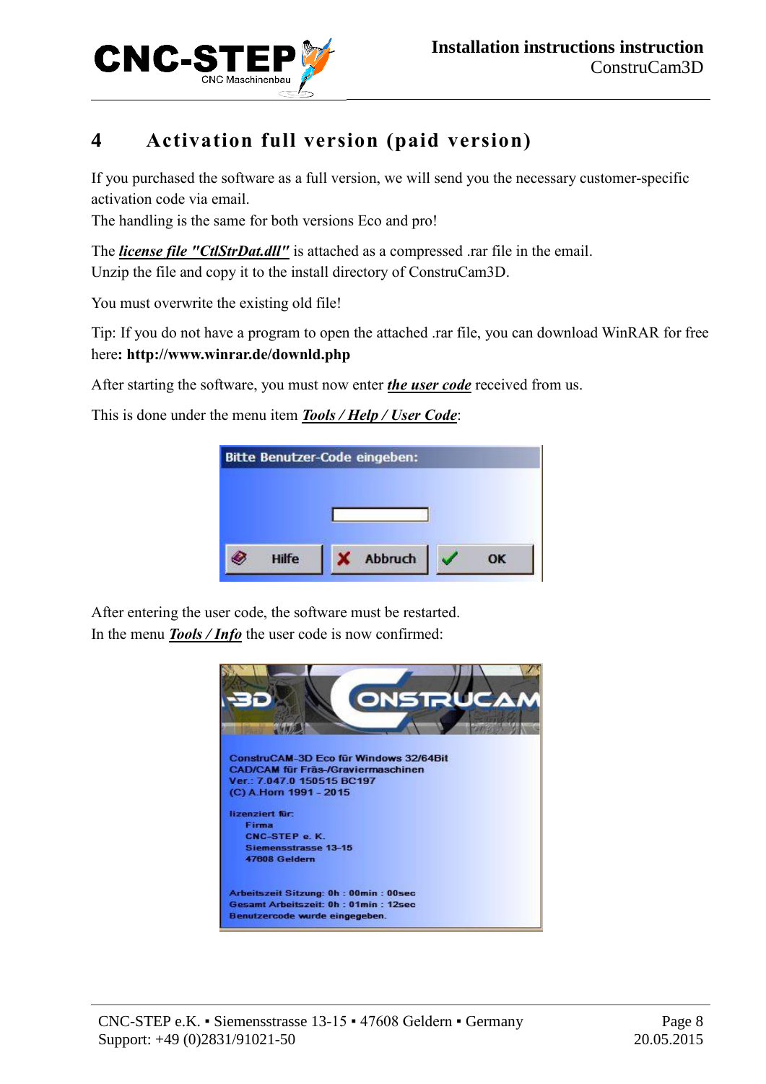

## <span id="page-7-0"></span>**4 Activation full version (paid version)**

If you purchased the software as a full version, we will send you the necessary customer-specific activation code via email.

The handling is the same for both versions Eco and pro!

The *license file "CtlStrDat.dll"* is attached as a compressed .rar file in the email. Unzip the file and copy it to the install directory of ConstruCam3D.

You must overwrite the existing old file!

Tip: If you do not have a program to open the attached .rar file, you can download WinRAR for free here**: http://www.winrar.de/downld.php**

After starting the software, you must now enter *the user code* received from us.

This is done under the menu item *Tools / Help / User Code*:

After entering the user code, the software must be restarted. In the menu *Tools / Info* the user code is now confirmed:

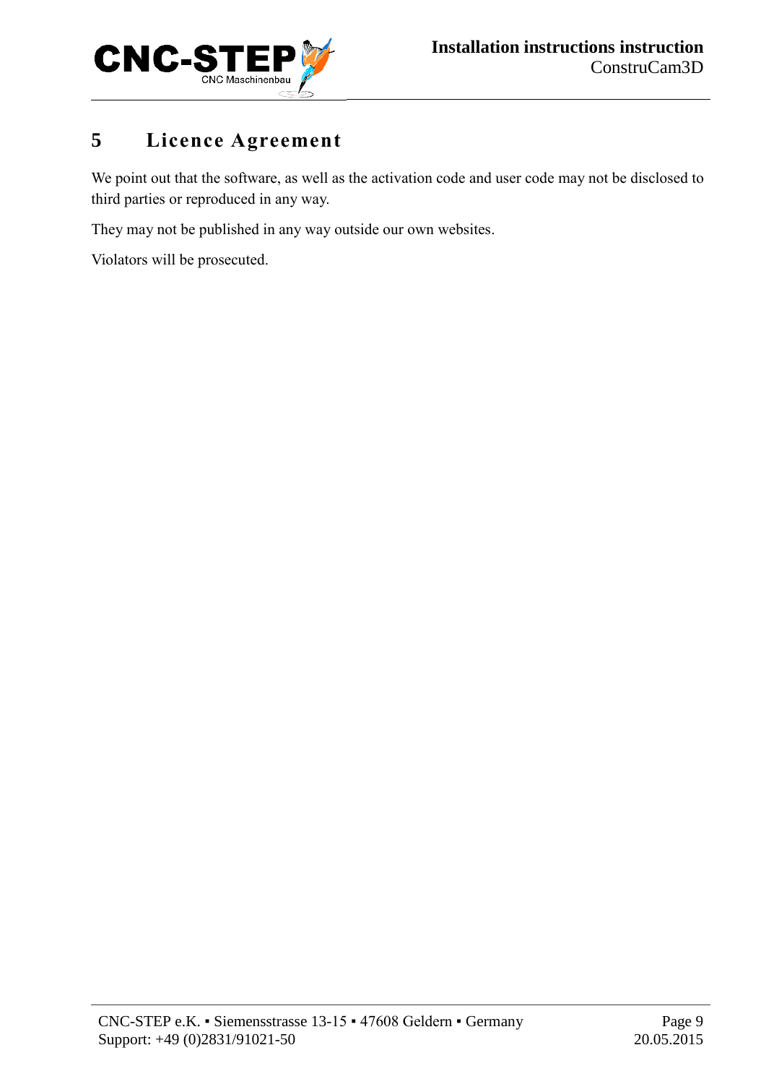

## <span id="page-8-0"></span>**5 Licence Agreement**

We point out that the software, as well as the activation code and user code may not be disclosed to third parties or reproduced in any way.

They may not be published in any way outside our own websites.

Violators will be prosecuted.